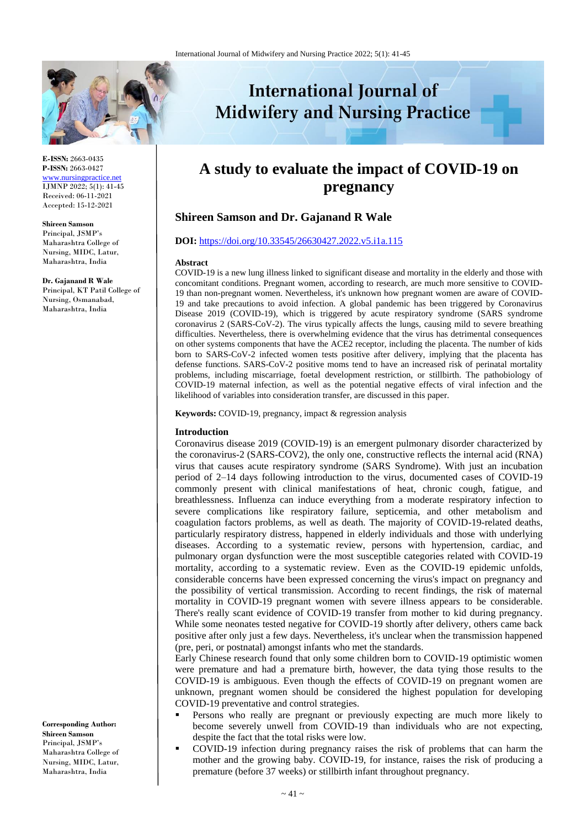

**E-ISSN:** 2663-0435 **P-ISSN:** 2663-0427 [www.nursingpractice.net](http://www.nursingpractice.net/) IJMNP 2022; 5(1): 41-45 Received: 06-11-2021 Accepted: 15-12-2021

**Shireen Samson**  Principal, JSMP's Maharashtra College of Nursing, MIDC, Latur, Maharashtra, India

**Dr. Gajanand R Wale**

Principal, KT Patil College of Nursing, Osmanabad, Maharashtra, India

**Corresponding Author: Shireen Samson**  Principal, JSMP's Maharashtra College of Nursing, MIDC, Latur, Maharashtra, India

# **International Journal of Midwifery and Nursing Practice**

# **A study to evaluate the impact of COVID-19 on pregnancy**

# **Shireen Samson and Dr. Gajanand R Wale**

## **DOI:** <https://doi.org/10.33545/26630427.2022.v5.i1a.115>

## **Abstract**

COVID-19 is a new lung illness linked to significant disease and mortality in the elderly and those with concomitant conditions. Pregnant women, according to research, are much more sensitive to COVID-19 than non-pregnant women. Nevertheless, it's unknown how pregnant women are aware of COVID-19 and take precautions to avoid infection. A global pandemic has been triggered by Coronavirus Disease 2019 (COVID-19), which is triggered by acute respiratory syndrome (SARS syndrome coronavirus 2 (SARS-CoV-2). The virus typically affects the lungs, causing mild to severe breathing difficulties. Nevertheless, there is overwhelming evidence that the virus has detrimental consequences on other systems components that have the ACE2 receptor, including the placenta. The number of kids born to SARS-CoV-2 infected women tests positive after delivery, implying that the placenta has defense functions. SARS-CoV-2 positive moms tend to have an increased risk of perinatal mortality problems, including miscarriage, foetal development restriction, or stillbirth. The pathobiology of COVID-19 maternal infection, as well as the potential negative effects of viral infection and the likelihood of variables into consideration transfer, are discussed in this paper.

**Keywords:** COVID-19, pregnancy, impact & regression analysis

## **Introduction**

Coronavirus disease 2019 (COVID-19) is an emergent pulmonary disorder characterized by the coronavirus-2 (SARS-COV2), the only one, constructive reflects the internal acid (RNA) virus that causes acute respiratory syndrome (SARS Syndrome). With just an incubation period of 2–14 days following introduction to the virus, documented cases of COVID-19 commonly present with clinical manifestations of heat, chronic cough, fatigue, and breathlessness. Influenza can induce everything from a moderate respiratory infection to severe complications like respiratory failure, septicemia, and other metabolism and coagulation factors problems, as well as death. The majority of COVID-19-related deaths, particularly respiratory distress, happened in elderly individuals and those with underlying diseases. According to a systematic review, persons with hypertension, cardiac, and pulmonary organ dysfunction were the most susceptible categories related with COVID-19 mortality, according to a systematic review. Even as the COVID-19 epidemic unfolds, considerable concerns have been expressed concerning the virus's impact on pregnancy and the possibility of vertical transmission. According to recent findings, the risk of maternal mortality in COVID-19 pregnant women with severe illness appears to be considerable. There's really scant evidence of COVID-19 transfer from mother to kid during pregnancy. While some neonates tested negative for COVID-19 shortly after delivery, others came back positive after only just a few days. Nevertheless, it's unclear when the transmission happened (pre, peri, or postnatal) amongst infants who met the standards.

Early Chinese research found that only some children born to COVID-19 optimistic women were premature and had a premature birth, however, the data tying those results to the COVID-19 is ambiguous. Even though the effects of COVID-19 on pregnant women are unknown, pregnant women should be considered the highest population for developing COVID-19 preventative and control strategies.

- Persons who really are pregnant or previously expecting are much more likely to become severely unwell from COVID-19 than individuals who are not expecting, despite the fact that the total risks were low.
- COVID-19 infection during pregnancy raises the risk of problems that can harm the mother and the growing baby. COVID-19, for instance, raises the risk of producing a premature (before 37 weeks) or stillbirth infant throughout pregnancy.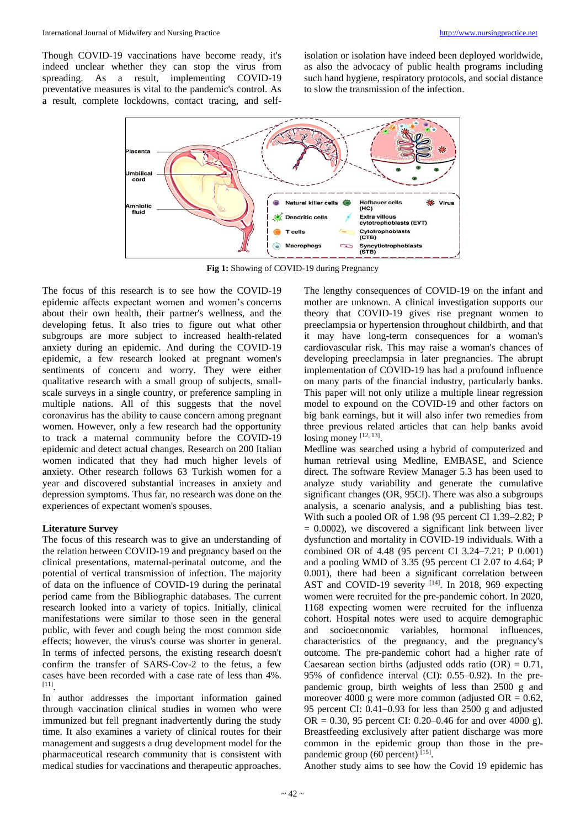Though COVID-19 vaccinations have become ready, it's indeed unclear whether they can stop the virus from spreading. As a result, implementing COVID-19 preventative measures is vital to the pandemic's control. As a result, complete lockdowns, contact tracing, and selfisolation or isolation have indeed been deployed worldwide, as also the advocacy of public health programs including such hand hygiene, respiratory protocols, and social distance to slow the transmission of the infection.



**Fig 1:** Showing of COVID-19 during Pregnancy

The focus of this research is to see how the COVID-19 epidemic affects expectant women and women's concerns about their own health, their partner's wellness, and the developing fetus. It also tries to figure out what other subgroups are more subject to increased health-related anxiety during an epidemic. And during the COVID-19 epidemic, a few research looked at pregnant women's sentiments of concern and worry. They were either qualitative research with a small group of subjects, smallscale surveys in a single country, or preference sampling in multiple nations. All of this suggests that the novel coronavirus has the ability to cause concern among pregnant women. However, only a few research had the opportunity to track a maternal community before the COVID-19 epidemic and detect actual changes. Research on 200 Italian women indicated that they had much higher levels of anxiety. Other research follows 63 Turkish women for a year and discovered substantial increases in anxiety and depression symptoms. Thus far, no research was done on the experiences of expectant women's spouses.

# **Literature Survey**

The focus of this research was to give an understanding of the relation between COVID-19 and pregnancy based on the clinical presentations, maternal-perinatal outcome, and the potential of vertical transmission of infection. The majority of data on the influence of COVID-19 during the perinatal period came from the Bibliographic databases. The current research looked into a variety of topics. Initially, clinical manifestations were similar to those seen in the general public, with fever and cough being the most common side effects; however, the virus's course was shorter in general. In terms of infected persons, the existing research doesn't confirm the transfer of SARS-Cov-2 to the fetus, a few cases have been recorded with a case rate of less than 4%. [11] .

In author addresses the important information gained through vaccination clinical studies in women who were immunized but fell pregnant inadvertently during the study time. It also examines a variety of clinical routes for their management and suggests a drug development model for the pharmaceutical research community that is consistent with medical studies for vaccinations and therapeutic approaches.

The lengthy consequences of COVID-19 on the infant and mother are unknown. A clinical investigation supports our theory that COVID-19 gives rise pregnant women to preeclampsia or hypertension throughout childbirth, and that it may have long-term consequences for a woman's cardiovascular risk. This may raise a woman's chances of developing preeclampsia in later pregnancies. The abrupt implementation of COVID-19 has had a profound influence on many parts of the financial industry, particularly banks. This paper will not only utilize a multiple linear regression model to expound on the COVID-19 and other factors on big bank earnings, but it will also infer two remedies from three previous related articles that can help banks avoid losing money  $[12, 13]$ .

Medline was searched using a hybrid of computerized and human retrieval using Medline, EMBASE, and Science direct. The software Review Manager 5.3 has been used to analyze study variability and generate the cumulative significant changes (OR, 95CI). There was also a subgroups analysis, a scenario analysis, and a publishing bias test. With such a pooled OR of 1.98 (95 percent CI 1.39–2.82; P  $= 0.0002$ ), we discovered a significant link between liver dysfunction and mortality in COVID-19 individuals. With a combined OR of 4.48 (95 percent CI 3.24–7.21; P 0.001) and a pooling WMD of 3.35 (95 percent CI 2.07 to 4.64; P 0.001), there had been a significant correlation between AST and COVID-19 severity  $[14]$ . In 2018, 969 expecting women were recruited for the pre-pandemic cohort. In 2020, 1168 expecting women were recruited for the influenza cohort. Hospital notes were used to acquire demographic and socioeconomic variables, hormonal influences, characteristics of the pregnancy, and the pregnancy's outcome. The pre-pandemic cohort had a higher rate of Caesarean section births (adjusted odds ratio  $(OR) = 0.71$ , 95% of confidence interval (CI): 0.55–0.92). In the prepandemic group, birth weights of less than 2500 g and moreover 4000 g were more common (adjusted  $OR = 0.62$ , 95 percent CI: 0.41–0.93 for less than 2500 g and adjusted OR = 0.30, 95 percent CI: 0.20–0.46 for and over 4000 g). Breastfeeding exclusively after patient discharge was more common in the epidemic group than those in the prepandemic group (60 percent) [15].

Another study aims to see how the Covid 19 epidemic has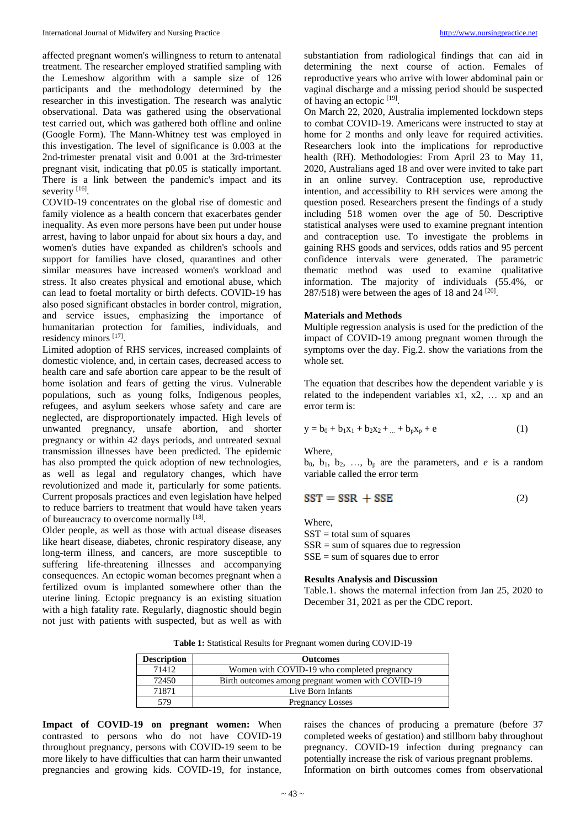affected pregnant women's willingness to return to antenatal treatment. The researcher employed stratified sampling with the Lemeshow algorithm with a sample size of 126 participants and the methodology determined by the researcher in this investigation. The research was analytic observational. Data was gathered using the observational test carried out, which was gathered both offline and online (Google Form). The Mann-Whitney test was employed in this investigation. The level of significance is 0.003 at the 2nd-trimester prenatal visit and 0.001 at the 3rd-trimester pregnant visit, indicating that p0.05 is statically important. There is a link between the pandemic's impact and its severity [16].

COVID-19 concentrates on the global rise of domestic and family violence as a health concern that exacerbates gender inequality. As even more persons have been put under house arrest, having to labor unpaid for about six hours a day, and women's duties have expanded as children's schools and support for families have closed, quarantines and other similar measures have increased women's workload and stress. It also creates physical and emotional abuse, which can lead to foetal mortality or birth defects. COVID-19 has also posed significant obstacles in border control, migration, and service issues, emphasizing the importance of humanitarian protection for families, individuals, and residency minors [17].

Limited adoption of RHS services, increased complaints of domestic violence, and, in certain cases, decreased access to health care and safe abortion care appear to be the result of home isolation and fears of getting the virus. Vulnerable populations, such as young folks, Indigenous peoples, refugees, and asylum seekers whose safety and care are neglected, are disproportionately impacted. High levels of unwanted pregnancy, unsafe abortion, and shorter pregnancy or within 42 days periods, and untreated sexual transmission illnesses have been predicted. The epidemic has also prompted the quick adoption of new technologies, as well as legal and regulatory changes, which have revolutionized and made it, particularly for some patients. Current proposals practices and even legislation have helped to reduce barriers to treatment that would have taken years of bureaucracy to overcome normally [18].

Older people, as well as those with actual disease diseases like heart disease, diabetes, chronic respiratory disease, any long-term illness, and cancers, are more susceptible to suffering life-threatening illnesses and accompanying consequences. An ectopic woman becomes pregnant when a fertilized ovum is implanted somewhere other than the uterine lining. Ectopic pregnancy is an existing situation with a high fatality rate. Regularly, diagnostic should begin not just with patients with suspected, but as well as with substantiation from radiological findings that can aid in determining the next course of action. Females of reproductive years who arrive with lower abdominal pain or vaginal discharge and a missing period should be suspected of having an ectopic <sup>[19]</sup>.

On March 22, 2020, Australia implemented lockdown steps to combat COVID-19. Americans were instructed to stay at home for 2 months and only leave for required activities. Researchers look into the implications for reproductive health (RH). Methodologies: From April 23 to May 11, 2020, Australians aged 18 and over were invited to take part in an online survey. Contraception use, reproductive intention, and accessibility to RH services were among the question posed. Researchers present the findings of a study including 518 women over the age of 50. Descriptive statistical analyses were used to examine pregnant intention and contraception use. To investigate the problems in gaining RHS goods and services, odds ratios and 95 percent confidence intervals were generated. The parametric thematic method was used to examine qualitative information. The majority of individuals (55.4%, or  $287/518$ ) were between the ages of 18 and  $24$  <sup>[20]</sup>.

# **Materials and Methods**

Multiple regression analysis is used for the prediction of the impact of COVID-19 among pregnant women through the symptoms over the day. Fig.2. show the variations from the whole set.

The equation that describes how the dependent variable y is related to the independent variables x1, x2, … xp and an error term is:

$$
y = b_0 + b_1 x_1 + b_2 x_2 + \dots + b_p x_p + e \tag{1}
$$

Where,

 $b_0$ ,  $b_1$ ,  $b_2$ , ...,  $b_p$  are the parameters, and *e* is a random variable called the error term

$$
SST = SSR + SSE
$$
 (2)

Where,

 $SST =$  total sum of squares  $SSR = sum of squares due to regression$  $SSE = sum of squares due to error$ 

## **Results Analysis and Discussion**

Table.1. shows the maternal infection from Jan 25, 2020 to December 31, 2021 as per the CDC report.

**Table 1:** Statistical Results for Pregnant women during COVID-19

| <b>Description</b> | <b>Outcomes</b>                                   |
|--------------------|---------------------------------------------------|
| 71412              | Women with COVID-19 who completed pregnancy       |
| 72450              | Birth outcomes among pregnant women with COVID-19 |
| 71871              | Live Born Infants                                 |
| 579                | <b>Pregnancy Losses</b>                           |

**Impact of COVID-19 on pregnant women:** When contrasted to persons who do not have COVID-19 throughout pregnancy, persons with COVID-19 seem to be more likely to have difficulties that can harm their unwanted pregnancies and growing kids. COVID-19, for instance,

raises the chances of producing a premature (before 37 completed weeks of gestation) and stillborn baby throughout pregnancy. COVID-19 infection during pregnancy can potentially increase the risk of various pregnant problems. Information on birth outcomes comes from observational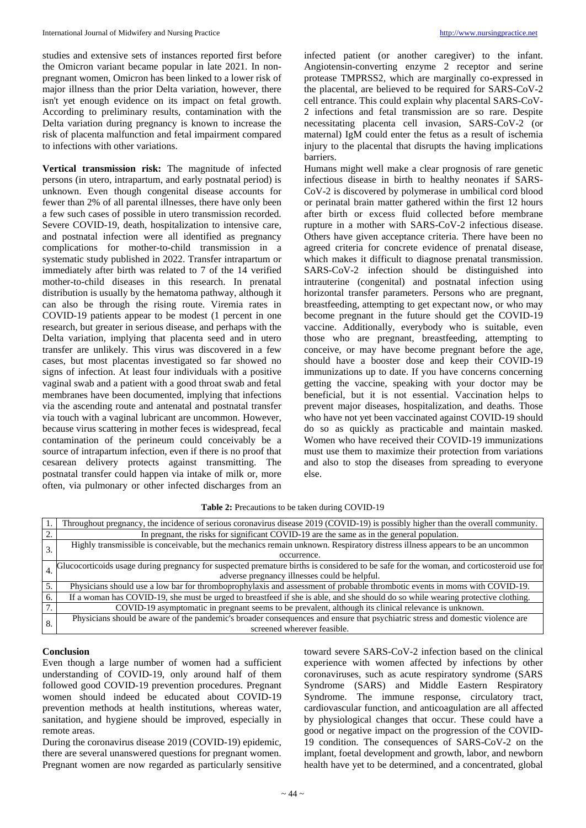studies and extensive sets of instances reported first before the Omicron variant became popular in late 2021. In nonpregnant women, Omicron has been linked to a lower risk of major illness than the prior Delta variation, however, there isn't yet enough evidence on its impact on fetal growth. According to preliminary results, contamination with the Delta variation during pregnancy is known to increase the risk of placenta malfunction and fetal impairment compared to infections with other variations.

**Vertical transmission risk:** The magnitude of infected persons (in utero, intrapartum, and early postnatal period) is unknown. Even though congenital disease accounts for fewer than 2% of all parental illnesses, there have only been a few such cases of possible in utero transmission recorded. Severe COVID-19, death, hospitalization to intensive care, and postnatal infection were all identified as pregnancy complications for mother-to-child transmission in a systematic study published in 2022. Transfer intrapartum or immediately after birth was related to 7 of the 14 verified mother-to-child diseases in this research. In prenatal distribution is usually by the hematoma pathway, although it can also be through the rising route. Viremia rates in COVID-19 patients appear to be modest (1 percent in one research, but greater in serious disease, and perhaps with the Delta variation, implying that placenta seed and in utero transfer are unlikely. This virus was discovered in a few cases, but most placentas investigated so far showed no signs of infection. At least four individuals with a positive vaginal swab and a patient with a good throat swab and fetal membranes have been documented, implying that infections via the ascending route and antenatal and postnatal transfer via touch with a vaginal lubricant are uncommon. However, because virus scattering in mother feces is widespread, fecal contamination of the perineum could conceivably be a source of intrapartum infection, even if there is no proof that cesarean delivery protects against transmitting. The postnatal transfer could happen via intake of milk or, more often, via pulmonary or other infected discharges from an

infected patient (or another caregiver) to the infant. Angiotensin-converting enzyme 2 receptor and serine protease TMPRSS2, which are marginally co-expressed in the placental, are believed to be required for SARS-CoV-2 cell entrance. This could explain why placental SARS-CoV-2 infections and fetal transmission are so rare. Despite necessitating placenta cell invasion, SARS-CoV-2 (or maternal) IgM could enter the fetus as a result of ischemia injury to the placental that disrupts the having implications barriers.

Humans might well make a clear prognosis of rare genetic infectious disease in birth to healthy neonates if SARS-CoV-2 is discovered by polymerase in umbilical cord blood or perinatal brain matter gathered within the first 12 hours after birth or excess fluid collected before membrane rupture in a mother with SARS-CoV-2 infectious disease. Others have given acceptance criteria. There have been no agreed criteria for concrete evidence of prenatal disease, which makes it difficult to diagnose prenatal transmission. SARS-CoV-2 infection should be distinguished into intrauterine (congenital) and postnatal infection using horizontal transfer parameters. Persons who are pregnant, breastfeeding, attempting to get expectant now, or who may become pregnant in the future should get the COVID-19 vaccine. Additionally, everybody who is suitable, even those who are pregnant, breastfeeding, attempting to conceive, or may have become pregnant before the age, should have a booster dose and keep their COVID-19 immunizations up to date. If you have concerns concerning getting the vaccine, speaking with your doctor may be beneficial, but it is not essential. Vaccination helps to prevent major diseases, hospitalization, and deaths. Those who have not yet been vaccinated against COVID-19 should do so as quickly as practicable and maintain masked. Women who have received their COVID-19 immunizations must use them to maximize their protection from variations and also to stop the diseases from spreading to everyone else.

|    | Throughout pregnancy, the incidence of serious coronavirus disease 2019 (COVID-19) is possibly higher than the overall community.        |
|----|------------------------------------------------------------------------------------------------------------------------------------------|
|    | In pregnant, the risks for significant COVID-19 are the same as in the general population.                                               |
|    | Highly transmissible is conceivable, but the mechanics remain unknown. Respiratory distress illness appears to be an uncommon            |
|    | occurrence.                                                                                                                              |
|    | Glucocorticoids usage during pregnancy for suspected premature births is considered to be safe for the woman, and corticosteroid use for |
|    | adverse pregnancy illnesses could be helpful.                                                                                            |
|    | Physicians should use a low bar for thromboprophylaxis and assessment of probable thrombotic events in moms with COVID-19.               |
|    | If a woman has COVID-19, she must be urged to breastfeed if she is able, and she should do so while wearing protective clothing.         |
|    | COVID-19 asymptomatic in pregnant seems to be prevalent, although its clinical relevance is unknown.                                     |
| 8. | Physicians should be aware of the pandemic's broader consequences and ensure that psychiatric stress and domestic violence are           |
|    | screened wherever feasible.                                                                                                              |

## **Table 2:** Precautions to be taken during COVID-19

# **Conclusion**

Even though a large number of women had a sufficient understanding of COVID-19, only around half of them followed good COVID-19 prevention procedures. Pregnant women should indeed be educated about COVID-19 prevention methods at health institutions, whereas water, sanitation, and hygiene should be improved, especially in remote areas.

During the coronavirus disease 2019 (COVID-19) epidemic, there are several unanswered questions for pregnant women. Pregnant women are now regarded as particularly sensitive

toward severe SARS-CoV-2 infection based on the clinical experience with women affected by infections by other coronaviruses, such as acute respiratory syndrome (SARS Syndrome (SARS) and Middle Eastern Respiratory Syndrome. The immune response, circulatory tract, cardiovascular function, and anticoagulation are all affected by physiological changes that occur. These could have a good or negative impact on the progression of the COVID-19 condition. The consequences of SARS-CoV-2 on the implant, foetal development and growth, labor, and newborn health have yet to be determined, and a concentrated, global